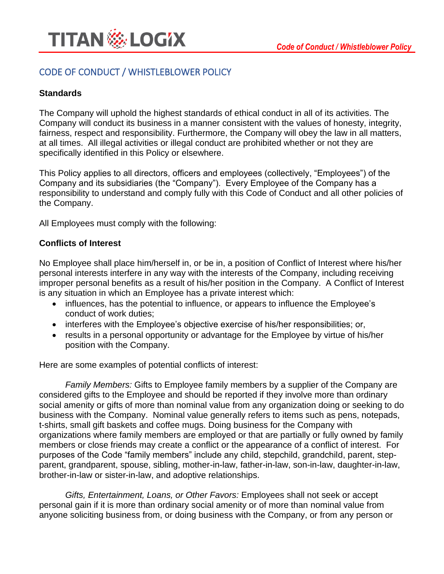

# CODE OF CONDUCT / WHISTLEBLOWER POLICY

## **Standards**

The Company will uphold the highest standards of ethical conduct in all of its activities. The Company will conduct its business in a manner consistent with the values of honesty, integrity, fairness, respect and responsibility. Furthermore, the Company will obey the law in all matters, at all times. All illegal activities or illegal conduct are prohibited whether or not they are specifically identified in this Policy or elsewhere.

This Policy applies to all directors, officers and employees (collectively, "Employees") of the Company and its subsidiaries (the "Company"). Every Employee of the Company has a responsibility to understand and comply fully with this Code of Conduct and all other policies of the Company.

All Employees must comply with the following:

#### **Conflicts of Interest**

No Employee shall place him/herself in, or be in, a position of Conflict of Interest where his/her personal interests interfere in any way with the interests of the Company, including receiving improper personal benefits as a result of his/her position in the Company. A Conflict of Interest is any situation in which an Employee has a private interest which:

- influences, has the potential to influence, or appears to influence the Employee's conduct of work duties;
- interferes with the Employee's objective exercise of his/her responsibilities; or,
- results in a personal opportunity or advantage for the Employee by virtue of his/her position with the Company.

Here are some examples of potential conflicts of interest:

*Family Members:* Gifts to Employee family members by a supplier of the Company are considered gifts to the Employee and should be reported if they involve more than ordinary social amenity or gifts of more than nominal value from any organization doing or seeking to do business with the Company. Nominal value generally refers to items such as pens, notepads, t-shirts, small gift baskets and coffee mugs. Doing business for the Company with organizations where family members are employed or that are partially or fully owned by family members or close friends may create a conflict or the appearance of a conflict of interest. For purposes of the Code "family members" include any child, stepchild, grandchild, parent, stepparent, grandparent, spouse, sibling, mother-in-law, father-in-law, son-in-law, daughter-in-law, brother-in-law or sister-in-law, and adoptive relationships.

*Gifts, Entertainment, Loans, or Other Favors:* Employees shall not seek or accept personal gain if it is more than ordinary social amenity or of more than nominal value from anyone soliciting business from, or doing business with the Company, or from any person or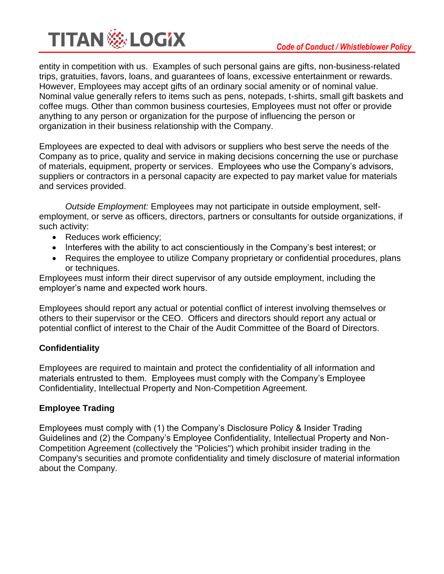

entity in competition with us. Examples of such personal gains are gifts, non-business-related trips, gratuities, favors, loans, and guarantees of loans, excessive entertainment or rewards. However, Employees may accept gifts of an ordinary social amenity or of nominal value. Nominal value generally refers to items such as pens, notepads, t-shirts, small gift baskets and coffee mugs. Other than common business courtesies, Employees must not offer or provide anything to any person or organization for the purpose of influencing the person or organization in their business relationship with the Company.

Employees are expected to deal with advisors or suppliers who best serve the needs of the Company as to price, quality and service in making decisions concerning the use or purchase of materials, equipment, property or services. Employees who use the Company's advisors, suppliers or contractors in a personal capacity are expected to pay market value for materials and services provided.

*Outside Employment:* Employees may not participate in outside employment, selfemployment, or serve as officers, directors, partners or consultants for outside organizations, if such activity:

- Reduces work efficiency;
- Interferes with the ability to act conscientiously in the Company's best interest; or
- Requires the employee to utilize Company proprietary or confidential procedures, plans or techniques.

Employees must inform their direct supervisor of any outside employment, including the employer's name and expected work hours.

Employees should report any actual or potential conflict of interest involving themselves or others to their supervisor or the CEO. Officers and directors should report any actual or potential conflict of interest to the Chair of the Audit Committee of the Board of Directors.

## **Confidentiality**

Employees are required to maintain and protect the confidentiality of all information and materials entrusted to them. Employees must comply with the Company's Employee Confidentiality, Intellectual Property and Non-Competition Agreement.

## **Employee Trading**

Employees must comply with (1) the Company's Disclosure Policy & Insider Trading Guidelines and (2) the Company's Employee Confidentiality, Intellectual Property and Non-Competition Agreement (collectively the "Policies") which prohibit insider trading in the Company's securities and promote confidentiality and timely disclosure of material information about the Company.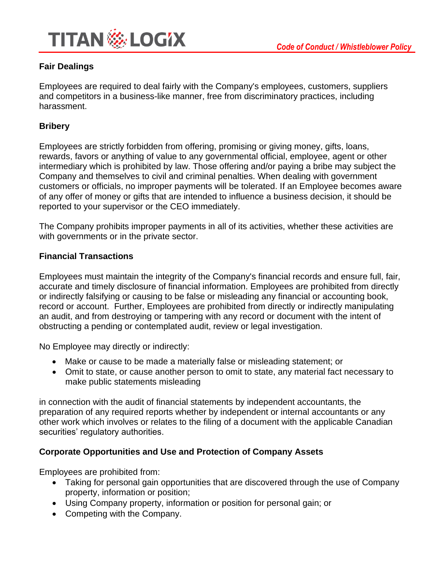

## **Fair Dealings**

Employees are required to deal fairly with the Company's employees, customers, suppliers and competitors in a business-like manner, free from discriminatory practices, including harassment.

#### **Bribery**

Employees are strictly forbidden from offering, promising or giving money, gifts, loans, rewards, favors or anything of value to any governmental official, employee, agent or other intermediary which is prohibited by law. Those offering and/or paying a bribe may subject the Company and themselves to civil and criminal penalties. When dealing with government customers or officials, no improper payments will be tolerated. If an Employee becomes aware of any offer of money or gifts that are intended to influence a business decision, it should be reported to your supervisor or the CEO immediately.

The Company prohibits improper payments in all of its activities, whether these activities are with governments or in the private sector.

#### **Financial Transactions**

Employees must maintain the integrity of the Company's financial records and ensure full, fair, accurate and timely disclosure of financial information. Employees are prohibited from directly or indirectly falsifying or causing to be false or misleading any financial or accounting book, record or account. Further, Employees are prohibited from directly or indirectly manipulating an audit, and from destroying or tampering with any record or document with the intent of obstructing a pending or contemplated audit, review or legal investigation.

No Employee may directly or indirectly:

- Make or cause to be made a materially false or misleading statement; or
- Omit to state, or cause another person to omit to state, any material fact necessary to make public statements misleading

in connection with the audit of financial statements by independent accountants, the preparation of any required reports whether by independent or internal accountants or any other work which involves or relates to the filing of a document with the applicable Canadian securities' regulatory authorities.

## **Corporate Opportunities and Use and Protection of Company Assets**

Employees are prohibited from:

- Taking for personal gain opportunities that are discovered through the use of Company property, information or position;
- Using Company property, information or position for personal gain; or
- Competing with the Company.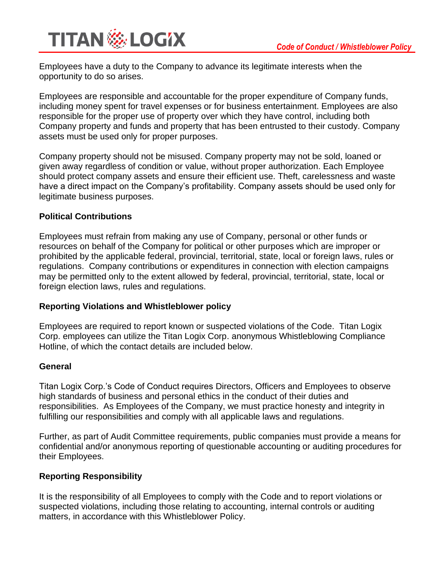

Employees have a duty to the Company to advance its legitimate interests when the opportunity to do so arises.

Employees are responsible and accountable for the proper expenditure of Company funds, including money spent for travel expenses or for business entertainment. Employees are also responsible for the proper use of property over which they have control, including both Company property and funds and property that has been entrusted to their custody. Company assets must be used only for proper purposes.

Company property should not be misused. Company property may not be sold, loaned or given away regardless of condition or value, without proper authorization. Each Employee should protect company assets and ensure their efficient use. Theft, carelessness and waste have a direct impact on the Company's profitability. Company assets should be used only for legitimate business purposes.

#### **Political Contributions**

Employees must refrain from making any use of Company, personal or other funds or resources on behalf of the Company for political or other purposes which are improper or prohibited by the applicable federal, provincial, territorial, state, local or foreign laws, rules or regulations. Company contributions or expenditures in connection with election campaigns may be permitted only to the extent allowed by federal, provincial, territorial, state, local or foreign election laws, rules and regulations.

#### **Reporting Violations and Whistleblower policy**

Employees are required to report known or suspected violations of the Code. Titan Logix Corp. employees can utilize the Titan Logix Corp. anonymous Whistleblowing Compliance Hotline, of which the contact details are included below.

#### **General**

Titan Logix Corp.'s Code of Conduct requires Directors, Officers and Employees to observe high standards of business and personal ethics in the conduct of their duties and responsibilities. As Employees of the Company, we must practice honesty and integrity in fulfilling our responsibilities and comply with all applicable laws and regulations.

Further, as part of Audit Committee requirements, public companies must provide a means for confidential and/or anonymous reporting of questionable accounting or auditing procedures for their Employees.

#### **Reporting Responsibility**

It is the responsibility of all Employees to comply with the Code and to report violations or suspected violations, including those relating to accounting, internal controls or auditing matters, in accordance with this Whistleblower Policy.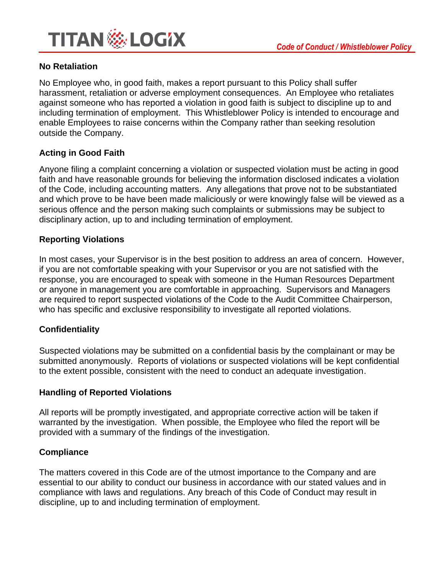

## **No Retaliation**

No Employee who, in good faith, makes a report pursuant to this Policy shall suffer harassment, retaliation or adverse employment consequences. An Employee who retaliates against someone who has reported a violation in good faith is subject to discipline up to and including termination of employment. This Whistleblower Policy is intended to encourage and enable Employees to raise concerns within the Company rather than seeking resolution outside the Company.

## **Acting in Good Faith**

Anyone filing a complaint concerning a violation or suspected violation must be acting in good faith and have reasonable grounds for believing the information disclosed indicates a violation of the Code, including accounting matters. Any allegations that prove not to be substantiated and which prove to be have been made maliciously or were knowingly false will be viewed as a serious offence and the person making such complaints or submissions may be subject to disciplinary action, up to and including termination of employment.

## **Reporting Violations**

In most cases, your Supervisor is in the best position to address an area of concern. However, if you are not comfortable speaking with your Supervisor or you are not satisfied with the response, you are encouraged to speak with someone in the Human Resources Department or anyone in management you are comfortable in approaching. Supervisors and Managers are required to report suspected violations of the Code to the Audit Committee Chairperson, who has specific and exclusive responsibility to investigate all reported violations.

#### **Confidentiality**

Suspected violations may be submitted on a confidential basis by the complainant or may be submitted anonymously. Reports of violations or suspected violations will be kept confidential to the extent possible, consistent with the need to conduct an adequate investigation.

#### **Handling of Reported Violations**

All reports will be promptly investigated, and appropriate corrective action will be taken if warranted by the investigation. When possible, the Employee who filed the report will be provided with a summary of the findings of the investigation.

#### **Compliance**

The matters covered in this Code are of the utmost importance to the Company and are essential to our ability to conduct our business in accordance with our stated values and in compliance with laws and regulations. Any breach of this Code of Conduct may result in discipline, up to and including termination of employment.